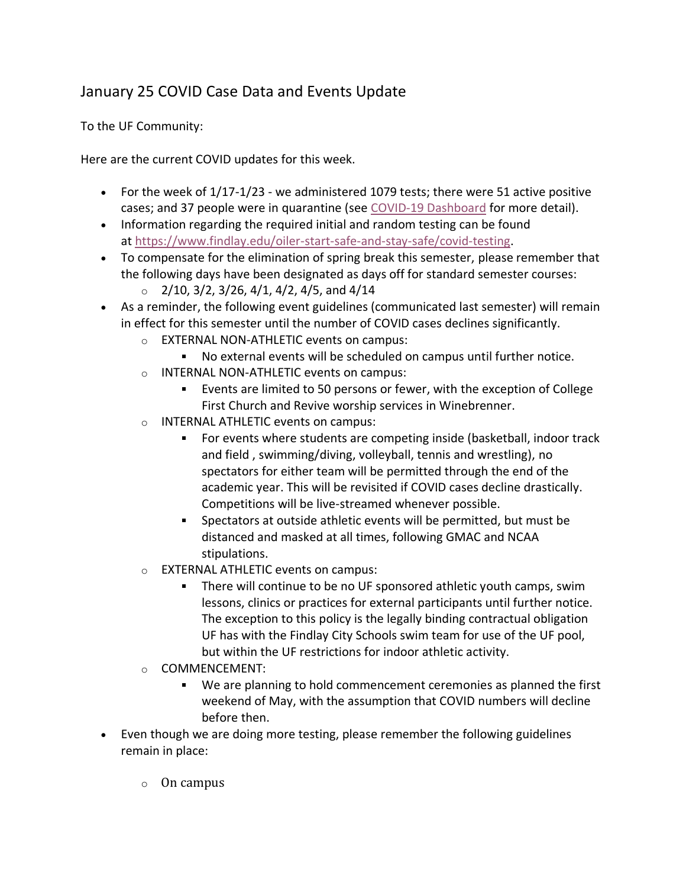## January 25 COVID Case Data and Events Update

To the UF Community:

Here are the current COVID updates for this week.

- For the week of  $1/17-1/23$  we administered 1079 tests; there were 51 active positive cases; and 37 people were in quarantine (see [COVID-19 Dashboard](https://www.findlay.edu/oiler-start-safe-and-stay-safe/covid-dashboard) for more detail).
- Information regarding the required initial and random testing can be found at [https://www.findlay.edu/oiler-start-safe-and-stay-safe/covid-testing.](https://www.findlay.edu/oiler-start-safe-and-stay-safe/covid-testing)
- To compensate for the elimination of spring break this semester, please remember that the following days have been designated as days off for standard semester courses:
	- $\circ$  2/10, 3/2, 3/26, 4/1, 4/2, 4/5, and 4/14
- As a reminder, the following event guidelines (communicated last semester) will remain in effect for this semester until the number of COVID cases declines significantly.
	- o EXTERNAL NON-ATHLETIC events on campus:
		- No external events will be scheduled on campus until further notice.
	- o INTERNAL NON-ATHLETIC events on campus:
		- Events are limited to 50 persons or fewer, with the exception of College First Church and Revive worship services in Winebrenner.
	- o INTERNAL ATHLETIC events on campus:
		- For events where students are competing inside (basketball, indoor track and field , swimming/diving, volleyball, tennis and wrestling), no spectators for either team will be permitted through the end of the academic year. This will be revisited if COVID cases decline drastically. Competitions will be live-streamed whenever possible.
		- Spectators at outside athletic events will be permitted, but must be distanced and masked at all times, following GMAC and NCAA stipulations.
	- o EXTERNAL ATHLETIC events on campus:
		- There will continue to be no UF sponsored athletic youth camps, swim lessons, clinics or practices for external participants until further notice. The exception to this policy is the legally binding contractual obligation UF has with the Findlay City Schools swim team for use of the UF pool, but within the UF restrictions for indoor athletic activity.
	- o COMMENCEMENT:
		- We are planning to hold commencement ceremonies as planned the first weekend of May, with the assumption that COVID numbers will decline before then.
- Even though we are doing more testing, please remember the following guidelines remain in place:
	- o On campus